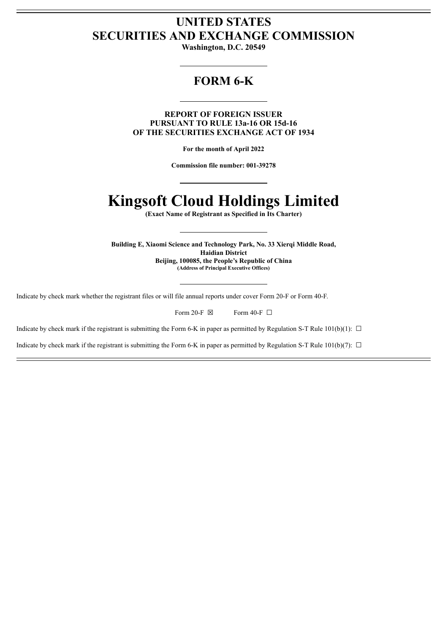# **UNITED STATES SECURITIES AND EXCHANGE COMMISSION**

**Washington, D.C. 20549**

# **FORM 6-K**

**REPORT OF FOREIGN ISSUER PURSUANT TO RULE 13a-16 OR 15d-16 OF THE SECURITIES EXCHANGE ACT OF 1934**

**For the month of April 2022**

**Commission file number: 001-39278**

# **Kingsoft Cloud Holdings Limited**

**(Exact Name of Registrant as Specified in Its Charter)**

**Building E, Xiaomi Science and Technology Park, No. 33 Xierqi Middle Road, Haidian District Beijing, 100085, the People's Republic of China (Address of Principal Executive Offices)**

Indicate by check mark whether the registrant files or will file annual reports under cover Form 20-F or Form 40-F.

| Form 20-F $\boxtimes$ |  | Form 40-F $\Box$ |  |
|-----------------------|--|------------------|--|
|-----------------------|--|------------------|--|

Indicate by check mark if the registrant is submitting the Form 6-K in paper as permitted by Regulation S-T Rule 101(b)(1):  $\Box$ 

Indicate by check mark if the registrant is submitting the Form 6-K in paper as permitted by Regulation S-T Rule  $101(b)(7)$ :  $\Box$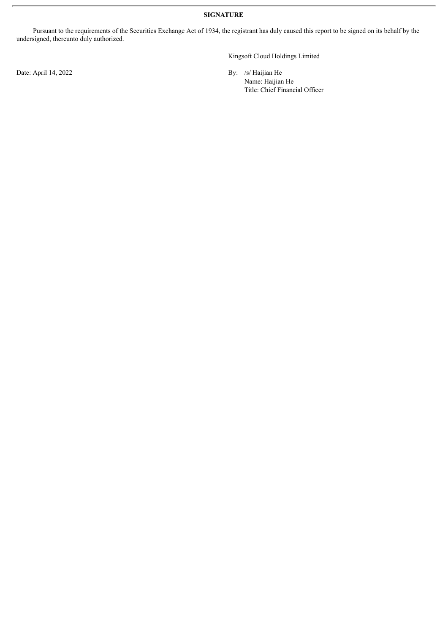**SIGNATURE**

Pursuant to the requirements of the Securities Exchange Act of 1934, the registrant has duly caused this report to be signed on its behalf by the undersigned, thereunto duly authorized.

Date: April 14, 2022 By: /s/ Haijian He

Kingsoft Cloud Holdings Limited

Name: Haijian He Title: Chief Financial Officer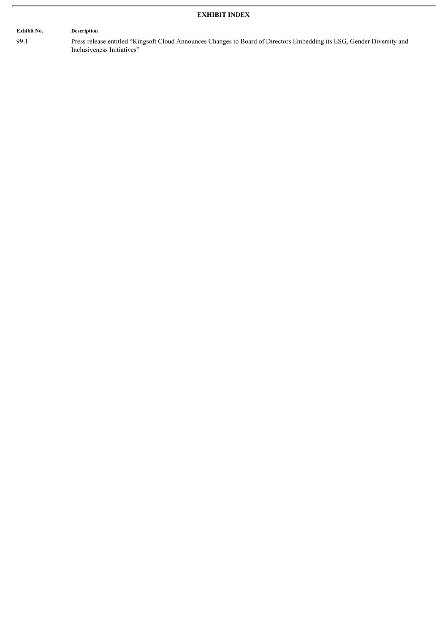## **EXHIBIT INDEX**

# **Exhibit No. Description**

99.1 Press release entitled "Kingsoft Cloud Announces Changes to Board of Directors Embedding its ESG, Gender Diversity and Inclusiveness Initiatives"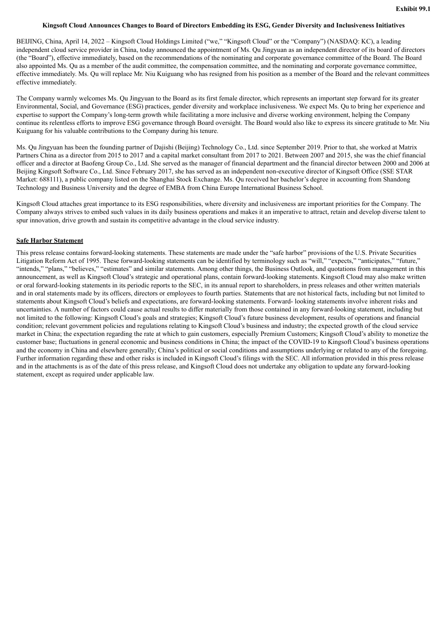#### Kingsoft Cloud Announces Changes to Board of Directors Embedding its ESG, Gender Diversity and Inclusiveness Initiatives

BEIJING, China, April 14, 2022 – Kingsoft Cloud Holdings Limited ("we," "Kingsoft Cloud" or the "Company") (NASDAQ: KC), a leading independent cloud service provider in China, today announced the appointment of Ms. Qu Jingyuan as an independent director of its board of directors (the "Board"), effective immediately, based on the recommendations of the nominating and corporate governance committee of the Board. The Board also appointed Ms. Qu as a member of the audit committee, the compensation committee, and the nominating and corporate governance committee, effective immediately. Ms. Qu will replace Mr. Niu Kuiguang who has resigned from his position as a member of the Board and the relevant committees effective immediately.

The Company warmly welcomes Ms. Qu Jingyuan to the Board as its first female director, which represents an important step forward for its greater Environmental, Social, and Governance (ESG) practices, gender diversity and workplace inclusiveness. We expect Ms. Qu to bring her experience and expertise to support the Company's long-term growth while facilitating a more inclusive and diverse working environment, helping the Company continue its relentless efforts to improve ESG governance through Board oversight. The Board would also like to express its sincere gratitude to Mr. Niu Kuiguang for his valuable contributions to the Company during his tenure.

Ms. Qu Jingyuan has been the founding partner of Dajishi (Beijing) Technology Co., Ltd. since September 2019. Prior to that, she worked at Matrix Partners China as a director from 2015 to 2017 and a capital market consultant from 2017 to 2021. Between 2007 and 2015, she was the chief financial officer and a director at Baofeng Group Co., Ltd. She served as the manager of financial department and the financial director between 2000 and 2006 at Beijing Kingsoft Software Co., Ltd. Since February 2017, she has served as an independent non-executive director of Kingsoft Office (SSE STAR Market: 688111), a public company listed on the Shanghai Stock Exchange. Ms. Qu received her bachelor's degree in accounting from Shandong Technology and Business University and the degree of EMBA from China Europe International Business School.

Kingsoft Cloud attaches great importance to its ESG responsibilities, where diversity and inclusiveness are important priorities for the Company. The Company always strives to embed such values in its daily business operations and makes it an imperative to attract, retain and develop diverse talent to spur innovation, drive growth and sustain its competitive advantage in the cloud service industry.

#### **Safe Harbor Statement**

This press release contains forward-looking statements. These statements are made under the "safe harbor" provisions of the U.S. Private Securities Litigation Reform Act of 1995. These forward-looking statements can be identified by terminology such as "will," "expects," "anticipates," "future," "intends," "plans," "believes," "estimates" and similar statements. Among other things, the Business Outlook, and quotations from management in this announcement, as well as Kingsoft Cloud's strategic and operational plans, contain forward-looking statements. Kingsoft Cloud may also make written or oral forward-looking statements in its periodic reports to the SEC, in its annual report to shareholders, in press releases and other written materials and in oral statements made by its officers, directors or employees to fourth parties. Statements that are not historical facts, including but not limited to statements about Kingsoft Cloud's beliefs and expectations, are forward-looking statements. Forward- looking statements involve inherent risks and uncertainties. A number of factors could cause actual results to differ materially from those contained in any forward-looking statement, including but not limited to the following: Kingsoft Cloud's goals and strategies; Kingsoft Cloud's future business development, results of operations and financial condition; relevant government policies and regulations relating to Kingsoft Cloud's business and industry; the expected growth of the cloud service market in China; the expectation regarding the rate at which to gain customers, especially Premium Customers; Kingsoft Cloud's ability to monetize the customer base; fluctuations in general economic and business conditions in China; the impact of the COVID-19 to Kingsoft Cloud's business operations and the economy in China and elsewhere generally; China's political or social conditions and assumptions underlying or related to any of the foregoing. Further information regarding these and other risks is included in Kingsoft Cloud's filings with the SEC. All information provided in this press release and in the attachments is as of the date of this press release, and Kingsoft Cloud does not undertake any obligation to update any forward-looking statement, except as required under applicable law.